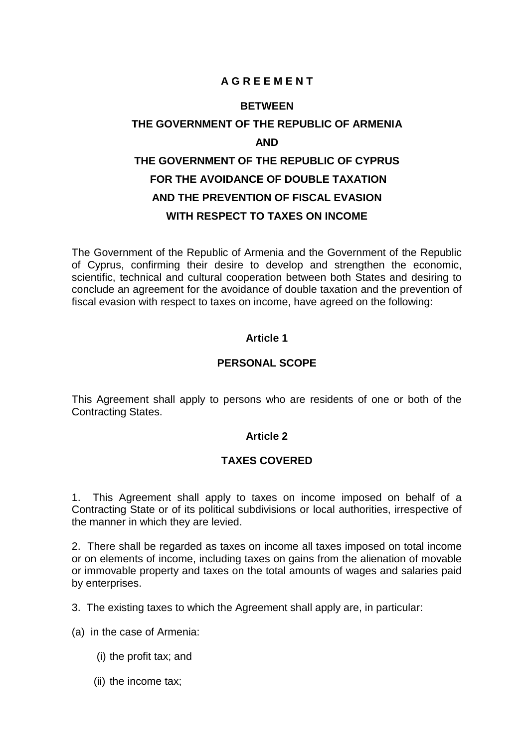# **A G R E E M E N T**

### **BETWEEN**

# **THE GOVERNMENT OF THE REPUBLIC OF ARMENIA AND THE GOVERNMENT OF THE REPUBLIC OF CYPRUS FOR THE AVOIDANCE OF DOUBLE TAXATION AND THE PREVENTION OF FISCAL EVASION WITH RESPECT TO TAXES ON INCOME**

The Government of the Republic of Armenia and the Government of the Republic of Cyprus, confirming their desire to develop and strengthen the economic, scientific, technical and cultural cooperation between both States and desiring to conclude an agreement for the avoidance of double taxation and the prevention of fiscal evasion with respect to taxes on income, have agreed on the following:

### **Article 1**

# **PERSONAL SCOPE**

This Agreement shall apply to persons who are residents of one or both of the Contracting States.

#### **Article 2**

# **TAXES COVERED**

1. This Agreement shall apply to taxes on income imposed on behalf of a Contracting State or of its political subdivisions or local authorities, irrespective of the manner in which they are levied.

2. There shall be regarded as taxes on income all taxes imposed on total income or on elements of income, including taxes on gains from the alienation of movable or immovable property and taxes on the total amounts of wages and salaries paid by enterprises.

3. The existing taxes to which the Agreement shall apply are, in particular:

(a) in the case of Armenia:

- (i) the profit tax; and
- (ii) the income tax;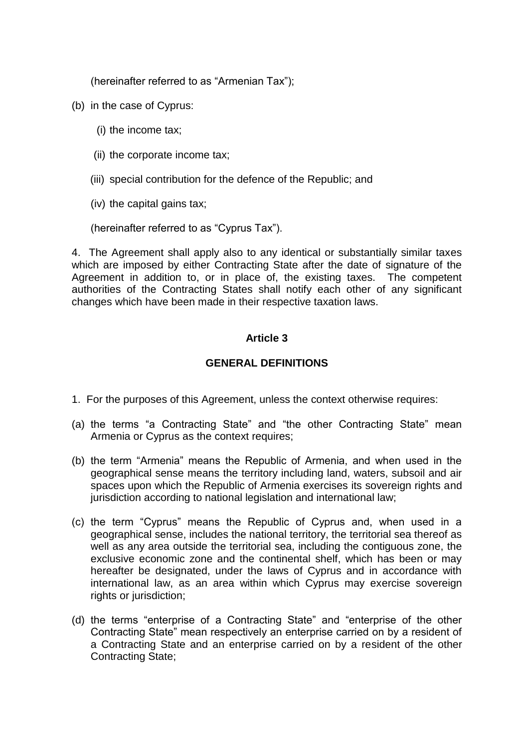(hereinafter referred to as "Armenian Tax");

- (b) in the case of Cyprus:
	- (i) the income tax;
	- (ii) the corporate income tax;
	- (iii) special contribution for the defence of the Republic; and
	- (iv) the capital gains tax;

(hereinafter referred to as "Cyprus Tax").

4. The Agreement shall apply also to any identical or substantially similar taxes which are imposed by either Contracting State after the date of signature of the Agreement in addition to, or in place of, the existing taxes. The competent authorities of the Contracting States shall notify each other of any significant changes which have been made in their respective taxation laws.

# **Article 3**

# **GENERAL DEFINITIONS**

- 1. For the purposes of this Agreement, unless the context otherwise requires:
- (a) the terms "a Contracting State" and "the other Contracting State" mean Armenia or Cyprus as the context requires;
- (b) the term "Armenia" means the Republic of Armenia, and when used in the geographical sense means the territory including land, waters, subsoil and air spaces upon which the Republic of Armenia exercises its sovereign rights and jurisdiction according to national legislation and international law;
- (c) the term "Cyprus" means the Republic of Cyprus and, when used in a geographical sense, includes the national territory, the territorial sea thereof as well as any area outside the territorial sea, including the contiguous zone, the exclusive economic zone and the continental shelf, which has been or may hereafter be designated, under the laws of Cyprus and in accordance with international law, as an area within which Cyprus may exercise sovereign rights or jurisdiction;
- (d) the terms "enterprise of a Contracting State" and "enterprise of the other Contracting State" mean respectively an enterprise carried on by a resident of a Contracting State and an enterprise carried on by a resident of the other Contracting State;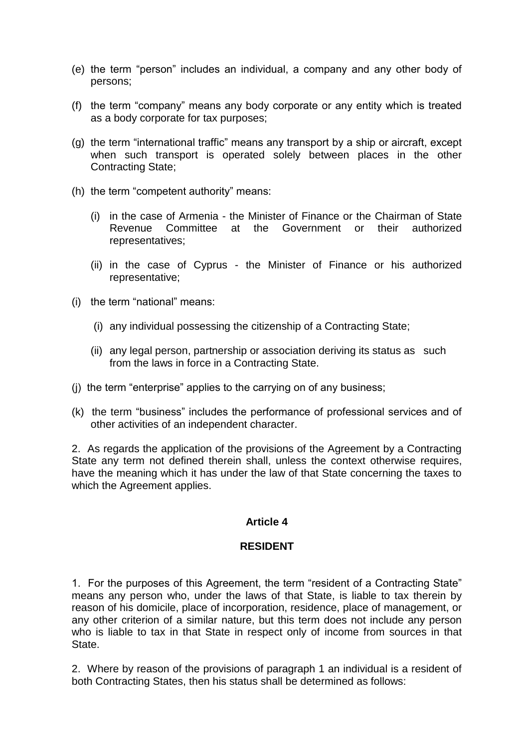- (e) the term "person" includes an individual, a company and any other body of persons;
- (f) the term "company" means any body corporate or any entity which is treated as a body corporate for tax purposes;
- (g) the term "international traffic" means any transport by a ship or aircraft, except when such transport is operated solely between places in the other Contracting State;
- (h) the term "competent authority" means:
	- (i) in the case of Armenia the Minister of Finance or the Chairman of State Revenue Committee at the Government or their authorized representatives;
	- (ii) in the case of Cyprus the Minister of Finance or his authorized representative;
- (i) the term "national" means:
	- (i) any individual possessing the citizenship of a Contracting State;
	- (ii) any legal person, partnership or association deriving its status as such from the laws in force in a Contracting State.
- (j) the term "enterprise" applies to the carrying on of any business;
- (k) the term "business" includes the performance of professional services and of other activities of an independent character.

2. As regards the application of the provisions of the Agreement by a Contracting State any term not defined therein shall, unless the context otherwise requires, have the meaning which it has under the law of that State concerning the taxes to which the Agreement applies.

# **Article 4**

# **RESIDENT**

1. For the purposes of this Agreement, the term "resident of a Contracting State" means any person who, under the laws of that State, is liable to tax therein by reason of his domicile, place of incorporation, residence, place of management, or any other criterion of a similar nature, but this term does not include any person who is liable to tax in that State in respect only of income from sources in that State.

2. Where by reason of the provisions of paragraph 1 an individual is a resident of both Contracting States, then his status shall be determined as follows: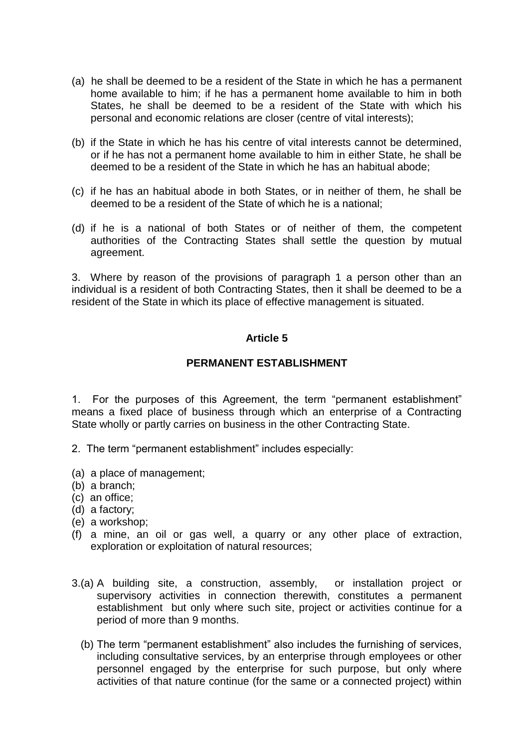- (a) he shall be deemed to be a resident of the State in which he has a permanent home available to him; if he has a permanent home available to him in both States, he shall be deemed to be a resident of the State with which his personal and economic relations are closer (centre of vital interests);
- (b) if the State in which he has his centre of vital interests cannot be determined, or if he has not a permanent home available to him in either State, he shall be deemed to be a resident of the State in which he has an habitual abode;
- (c) if he has an habitual abode in both States, or in neither of them, he shall be deemed to be a resident of the State of which he is a national;
- (d) if he is a national of both States or of neither of them, the competent authorities of the Contracting States shall settle the question by mutual agreement.

3. Where by reason of the provisions of paragraph 1 a person other than an individual is a resident of both Contracting States, then it shall be deemed to be a resident of the State in which its place of effective management is situated.

# **Article 5**

# **PERMANENT ESTABLISHMENT**

1. For the purposes of this Agreement, the term "permanent establishment" means a fixed place of business through which an enterprise of a Contracting State wholly or partly carries on business in the other Contracting State.

- 2. The term "permanent establishment" includes especially:
- (a) a place of management;
- (b) a branch;
- (c) an office;
- (d) a factory;
- (e) a workshop;
- (f) a mine, an oil or gas well, a quarry or any other place of extraction, exploration or exploitation of natural resources;
- 3.(a) A building site, a construction, assembly, or installation project or supervisory activities in connection therewith, constitutes a permanent establishment but only where such site, project or activities continue for a period of more than 9 months.
	- (b) The term "permanent establishment" also includes the furnishing of services, including consultative services, by an enterprise through employees or other personnel engaged by the enterprise for such purpose, but only where activities of that nature continue (for the same or a connected project) within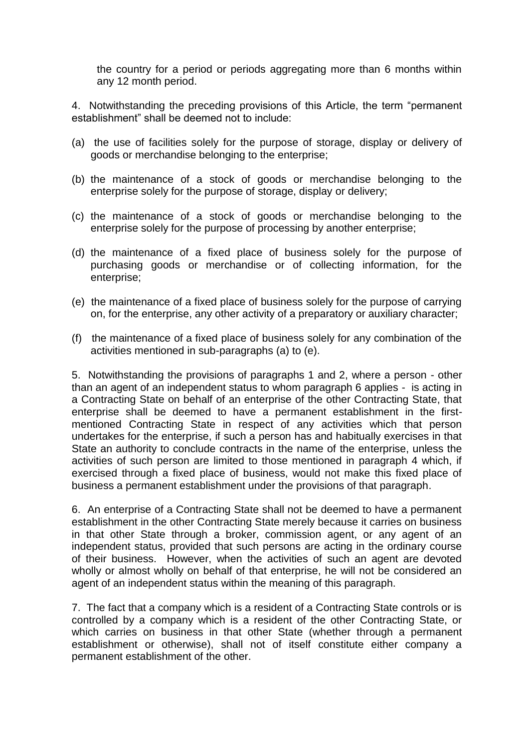the country for a period or periods aggregating more than 6 months within any 12 month period.

4. Notwithstanding the preceding provisions of this Article, the term "permanent establishment" shall be deemed not to include:

- (a) the use of facilities solely for the purpose of storage, display or delivery of goods or merchandise belonging to the enterprise;
- (b) the maintenance of a stock of goods or merchandise belonging to the enterprise solely for the purpose of storage, display or delivery;
- (c) the maintenance of a stock of goods or merchandise belonging to the enterprise solely for the purpose of processing by another enterprise;
- (d) the maintenance of a fixed place of business solely for the purpose of purchasing goods or merchandise or of collecting information, for the enterprise;
- (e) the maintenance of a fixed place of business solely for the purpose of carrying on, for the enterprise, any other activity of a preparatory or auxiliary character;
- (f) the maintenance of a fixed place of business solely for any combination of the activities mentioned in sub-paragraphs (a) to (e).

5. Notwithstanding the provisions of paragraphs 1 and 2, where a person - other than an agent of an independent status to whom paragraph 6 applies - is acting in a Contracting State on behalf of an enterprise of the other Contracting State, that enterprise shall be deemed to have a permanent establishment in the firstmentioned Contracting State in respect of any activities which that person undertakes for the enterprise, if such a person has and habitually exercises in that State an authority to conclude contracts in the name of the enterprise, unless the activities of such person are limited to those mentioned in paragraph 4 which, if exercised through a fixed place of business, would not make this fixed place of business a permanent establishment under the provisions of that paragraph.

6. An enterprise of a Contracting State shall not be deemed to have a permanent establishment in the other Contracting State merely because it carries on business in that other State through a broker, commission agent, or any agent of an independent status, provided that such persons are acting in the ordinary course of their business. However, when the activities of such an agent are devoted wholly or almost wholly on behalf of that enterprise, he will not be considered an agent of an independent status within the meaning of this paragraph.

7. The fact that a company which is a resident of a Contracting State controls or is controlled by a company which is a resident of the other Contracting State, or which carries on business in that other State (whether through a permanent establishment or otherwise), shall not of itself constitute either company a permanent establishment of the other.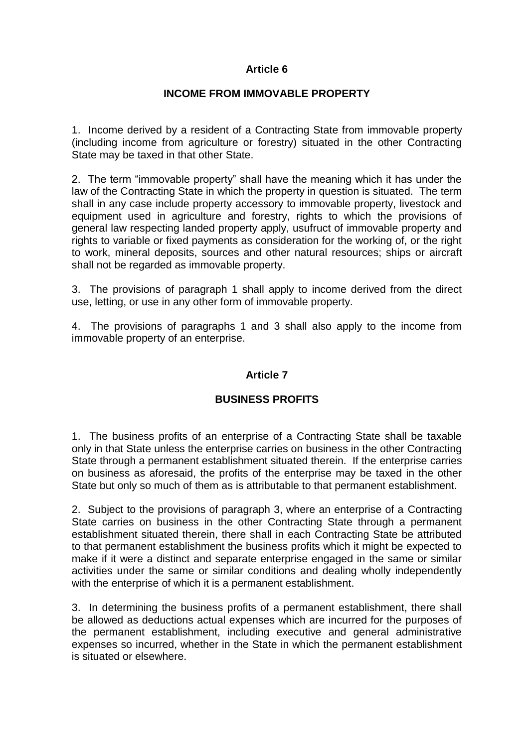# **Article 6**

# **INCOME FROM IMMOVABLE PROPERTY**

1. Income derived by a resident of a Contracting State from immovable property (including income from agriculture or forestry) situated in the other Contracting State may be taxed in that other State.

2. The term "immovable property" shall have the meaning which it has under the law of the Contracting State in which the property in question is situated. The term shall in any case include property accessory to immovable property, livestock and equipment used in agriculture and forestry, rights to which the provisions of general law respecting landed property apply, usufruct of immovable property and rights to variable or fixed payments as consideration for the working of, or the right to work, mineral deposits, sources and other natural resources; ships or aircraft shall not be regarded as immovable property.

3. The provisions of paragraph 1 shall apply to income derived from the direct use, letting, or use in any other form of immovable property.

4. The provisions of paragraphs 1 and 3 shall also apply to the income from immovable property of an enterprise.

# **Article 7**

# **BUSINESS PROFITS**

1. The business profits of an enterprise of a Contracting State shall be taxable only in that State unless the enterprise carries on business in the other Contracting State through a permanent establishment situated therein. If the enterprise carries on business as aforesaid, the profits of the enterprise may be taxed in the other State but only so much of them as is attributable to that permanent establishment.

2. Subject to the provisions of paragraph 3, where an enterprise of a Contracting State carries on business in the other Contracting State through a permanent establishment situated therein, there shall in each Contracting State be attributed to that permanent establishment the business profits which it might be expected to make if it were a distinct and separate enterprise engaged in the same or similar activities under the same or similar conditions and dealing wholly independently with the enterprise of which it is a permanent establishment.

3. In determining the business profits of a permanent establishment, there shall be allowed as deductions actual expenses which are incurred for the purposes of the permanent establishment, including executive and general administrative expenses so incurred, whether in the State in which the permanent establishment is situated or elsewhere.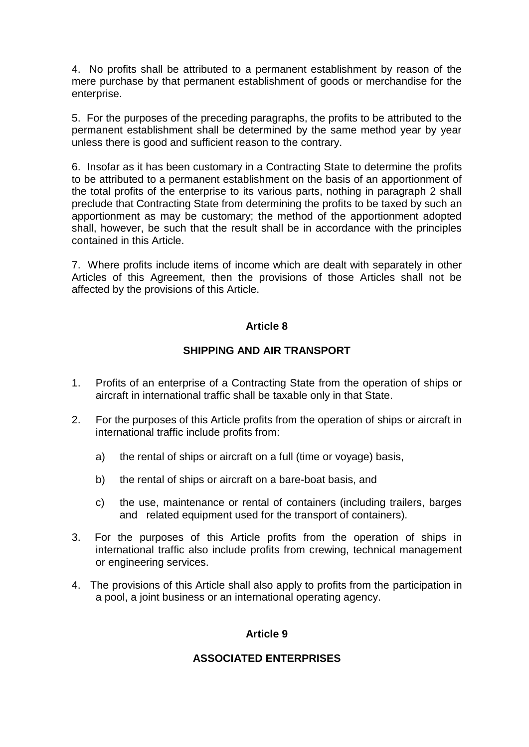4. No profits shall be attributed to a permanent establishment by reason of the mere purchase by that permanent establishment of goods or merchandise for the enterprise.

5. For the purposes of the preceding paragraphs, the profits to be attributed to the permanent establishment shall be determined by the same method year by year unless there is good and sufficient reason to the contrary.

6. Insofar as it has been customary in a Contracting State to determine the profits to be attributed to a permanent establishment on the basis of an apportionment of the total profits of the enterprise to its various parts, nothing in paragraph 2 shall preclude that Contracting State from determining the profits to be taxed by such an apportionment as may be customary; the method of the apportionment adopted shall, however, be such that the result shall be in accordance with the principles contained in this Article.

7. Where profits include items of income which are dealt with separately in other Articles of this Agreement, then the provisions of those Articles shall not be affected by the provisions of this Article.

# **Article 8**

# **SHIPPING AND AIR TRANSPORT**

- 1. Profits of an enterprise of a Contracting State from the operation of ships or aircraft in international traffic shall be taxable only in that State.
- 2. For the purposes of this Article profits from the operation of ships or aircraft in international traffic include profits from:
	- a) the rental of ships or aircraft on a full (time or voyage) basis,
	- b) the rental of ships or aircraft on a bare-boat basis, and
	- c) the use, maintenance or rental of containers (including trailers, barges and related equipment used for the transport of containers).
- 3. For the purposes of this Article profits from the operation of ships in international traffic also include profits from crewing, technical management or engineering services.
- 4. The provisions of this Article shall also apply to profits from the participation in a pool, a joint business or an international operating agency.

# **Article 9**

# **ASSOCIATED ENTERPRISES**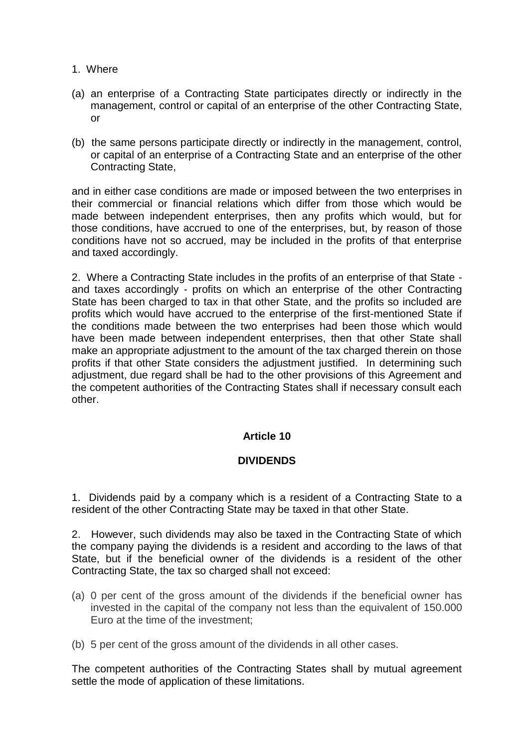- 1. Where
- (a) an enterprise of a Contracting State participates directly or indirectly in the management, control or capital of an enterprise of the other Contracting State, or
- (b) the same persons participate directly or indirectly in the management, control, or capital of an enterprise of a Contracting State and an enterprise of the other Contracting State,

and in either case conditions are made or imposed between the two enterprises in their commercial or financial relations which differ from those which would be made between independent enterprises, then any profits which would, but for those conditions, have accrued to one of the enterprises, but, by reason of those conditions have not so accrued, may be included in the profits of that enterprise and taxed accordingly.

2. Where a Contracting State includes in the profits of an enterprise of that State and taxes accordingly - profits on which an enterprise of the other Contracting State has been charged to tax in that other State, and the profits so included are profits which would have accrued to the enterprise of the first-mentioned State if the conditions made between the two enterprises had been those which would have been made between independent enterprises, then that other State shall make an appropriate adjustment to the amount of the tax charged therein on those profits if that other State considers the adjustment justified. In determining such adjustment, due regard shall be had to the other provisions of this Agreement and the competent authorities of the Contracting States shall if necessary consult each other.

# **Article 10**

#### **DIVIDENDS**

1. Dividends paid by a company which is a resident of a Contracting State to a resident of the other Contracting State may be taxed in that other State.

2. However, such dividends may also be taxed in the Contracting State of which the company paying the dividends is a resident and according to the laws of that State, but if the beneficial owner of the dividends is a resident of the other Contracting State, the tax so charged shall not exceed:

- (a) 0 per cent of the gross amount of the dividends if the beneficial owner has invested in the capital of the company not less than the equivalent of 150.000 Euro at the time of the investment;
- (b) 5 per cent of the gross amount of the dividends in all other cases.

The competent authorities of the Contracting States shall by mutual agreement settle the mode of application of these limitations.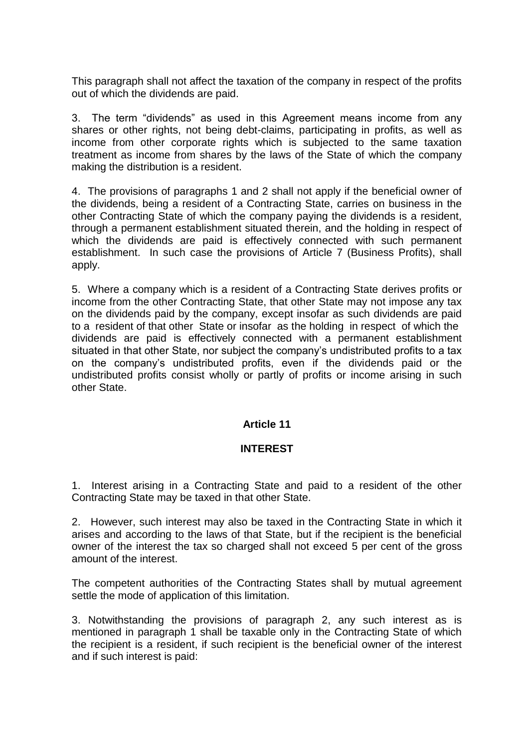This paragraph shall not affect the taxation of the company in respect of the profits out of which the dividends are paid.

3. The term "dividends" as used in this Agreement means income from any shares or other rights, not being debt-claims, participating in profits, as well as income from other corporate rights which is subjected to the same taxation treatment as income from shares by the laws of the State of which the company making the distribution is a resident.

4. The provisions of paragraphs 1 and 2 shall not apply if the beneficial owner of the dividends, being a resident of a Contracting State, carries on business in the other Contracting State of which the company paying the dividends is a resident, through a permanent establishment situated therein, and the holding in respect of which the dividends are paid is effectively connected with such permanent establishment. In such case the provisions of Article 7 (Business Profits), shall apply.

5. Where a company which is a resident of a Contracting State derives profits or income from the other Contracting State, that other State may not impose any tax on the dividends paid by the company, except insofar as such dividends are paid to a resident of that other State or insofar as the holding in respect of which the dividends are paid is effectively connected with a permanent establishment situated in that other State, nor subject the company's undistributed profits to a tax on the company's undistributed profits, even if the dividends paid or the undistributed profits consist wholly or partly of profits or income arising in such other State.

# **Article 11**

# **INTEREST**

1. Interest arising in a Contracting State and paid to a resident of the other Contracting State may be taxed in that other State.

2. However, such interest may also be taxed in the Contracting State in which it arises and according to the laws of that State, but if the recipient is the beneficial owner of the interest the tax so charged shall not exceed 5 per cent of the gross amount of the interest.

The competent authorities of the Contracting States shall by mutual agreement settle the mode of application of this limitation.

3. Notwithstanding the provisions of paragraph 2, any such interest as is mentioned in paragraph 1 shall be taxable only in the Contracting State of which the recipient is a resident, if such recipient is the beneficial owner of the interest and if such interest is paid: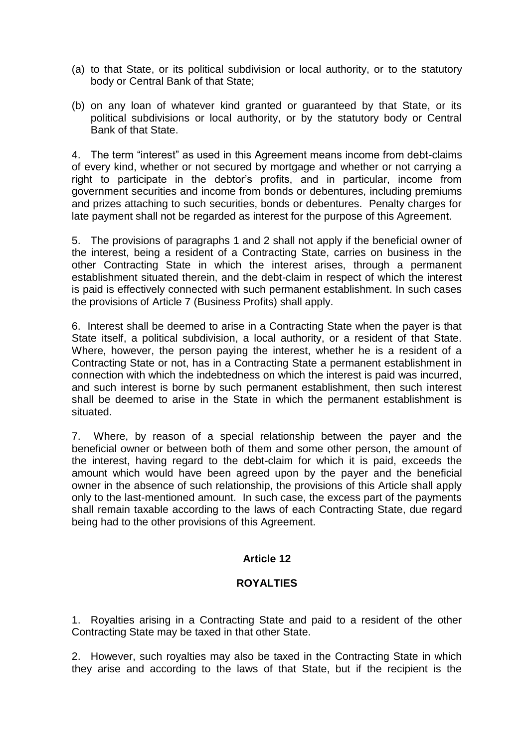- (a) to that State, or its political subdivision or local authority, or to the statutory body or Central Bank of that State;
- (b) on any loan of whatever kind granted or guaranteed by that State, or its political subdivisions or local authority, or by the statutory body or Central Bank of that State.

4. The term "interest" as used in this Agreement means income from debt-claims of every kind, whether or not secured by mortgage and whether or not carrying a right to participate in the debtor's profits, and in particular, income from government securities and income from bonds or debentures, including premiums and prizes attaching to such securities, bonds or debentures. Penalty charges for late payment shall not be regarded as interest for the purpose of this Agreement.

5. The provisions of paragraphs 1 and 2 shall not apply if the beneficial owner of the interest, being a resident of a Contracting State, carries on business in the other Contracting State in which the interest arises, through a permanent establishment situated therein, and the debt-claim in respect of which the interest is paid is effectively connected with such permanent establishment. In such cases the provisions of Article 7 (Business Profits) shall apply.

6. Interest shall be deemed to arise in a Contracting State when the payer is that State itself, a political subdivision, a local authority, or a resident of that State. Where, however, the person paying the interest, whether he is a resident of a Contracting State or not, has in a Contracting State a permanent establishment in connection with which the indebtedness on which the interest is paid was incurred, and such interest is borne by such permanent establishment, then such interest shall be deemed to arise in the State in which the permanent establishment is situated.

7. Where, by reason of a special relationship between the payer and the beneficial owner or between both of them and some other person, the amount of the interest, having regard to the debt-claim for which it is paid, exceeds the amount which would have been agreed upon by the payer and the beneficial owner in the absence of such relationship, the provisions of this Article shall apply only to the last-mentioned amount. In such case, the excess part of the payments shall remain taxable according to the laws of each Contracting State, due regard being had to the other provisions of this Agreement.

# **Article 12**

# **ROYALTIES**

1. Royalties arising in a Contracting State and paid to a resident of the other Contracting State may be taxed in that other State.

2. However, such royalties may also be taxed in the Contracting State in which they arise and according to the laws of that State, but if the recipient is the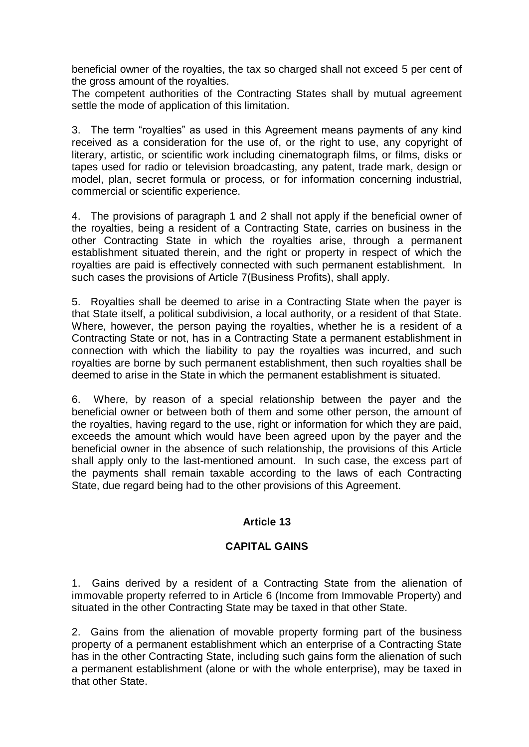beneficial owner of the royalties, the tax so charged shall not exceed 5 per cent of the gross amount of the royalties.

The competent authorities of the Contracting States shall by mutual agreement settle the mode of application of this limitation.

3. The term "royalties" as used in this Agreement means payments of any kind received as a consideration for the use of, or the right to use, any copyright of literary, artistic, or scientific work including cinematograph films, or films, disks or tapes used for radio or television broadcasting, any patent, trade mark, design or model, plan, secret formula or process, or for information concerning industrial, commercial or scientific experience.

4. The provisions of paragraph 1 and 2 shall not apply if the beneficial owner of the royalties, being a resident of a Contracting State, carries on business in the other Contracting State in which the royalties arise, through a permanent establishment situated therein, and the right or property in respect of which the royalties are paid is effectively connected with such permanent establishment. In such cases the provisions of Article 7(Business Profits), shall apply.

5. Royalties shall be deemed to arise in a Contracting State when the payer is that State itself, a political subdivision, a local authority, or a resident of that State. Where, however, the person paying the royalties, whether he is a resident of a Contracting State or not, has in a Contracting State a permanent establishment in connection with which the liability to pay the royalties was incurred, and such royalties are borne by such permanent establishment, then such royalties shall be deemed to arise in the State in which the permanent establishment is situated.

6. Where, by reason of a special relationship between the payer and the beneficial owner or between both of them and some other person, the amount of the royalties, having regard to the use, right or information for which they are paid, exceeds the amount which would have been agreed upon by the payer and the beneficial owner in the absence of such relationship, the provisions of this Article shall apply only to the last-mentioned amount. In such case, the excess part of the payments shall remain taxable according to the laws of each Contracting State, due regard being had to the other provisions of this Agreement.

# **Article 13**

# **CAPITAL GAINS**

1. Gains derived by a resident of a Contracting State from the alienation of immovable property referred to in Article 6 (Income from Immovable Property) and situated in the other Contracting State may be taxed in that other State.

2. Gains from the alienation of movable property forming part of the business property of a permanent establishment which an enterprise of a Contracting State has in the other Contracting State, including such gains form the alienation of such a permanent establishment (alone or with the whole enterprise), may be taxed in that other State.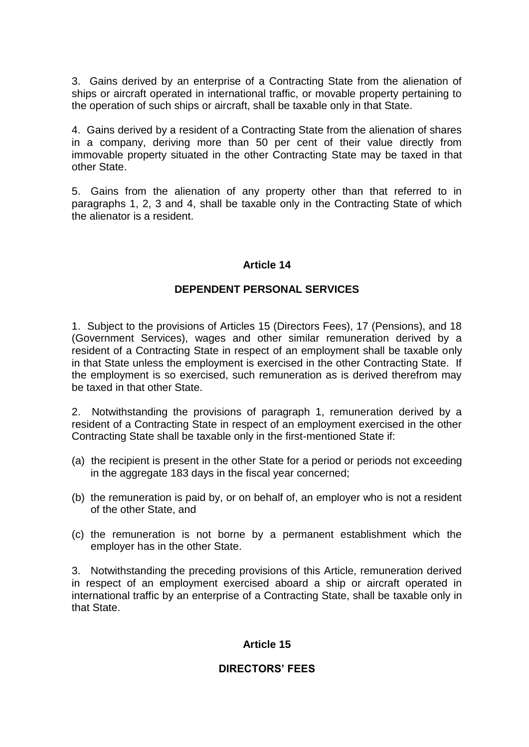3. Gains derived by an enterprise of a Contracting State from the alienation of ships or aircraft operated in international traffic, or movable property pertaining to the operation of such ships or aircraft, shall be taxable only in that State.

4. Gains derived by a resident of a Contracting State from the alienation of shares in a company, deriving more than 50 per cent of their value directly from immovable property situated in the other Contracting State may be taxed in that other State.

5. Gains from the alienation of any property other than that referred to in paragraphs 1, 2, 3 and 4, shall be taxable only in the Contracting State of which the alienator is a resident.

#### **Article 14**

#### **DEPENDENT PERSONAL SERVICES**

1. Subject to the provisions of Articles 15 (Directors Fees), 17 (Pensions), and 18 (Government Services), wages and other similar remuneration derived by a resident of a Contracting State in respect of an employment shall be taxable only in that State unless the employment is exercised in the other Contracting State. If the employment is so exercised, such remuneration as is derived therefrom may be taxed in that other State.

2. Notwithstanding the provisions of paragraph 1, remuneration derived by a resident of a Contracting State in respect of an employment exercised in the other Contracting State shall be taxable only in the first-mentioned State if:

- (a) the recipient is present in the other State for a period or periods not exceeding in the aggregate 183 days in the fiscal year concerned;
- (b) the remuneration is paid by, or on behalf of, an employer who is not a resident of the other State, and
- (c) the remuneration is not borne by a permanent establishment which the employer has in the other State.

3. Notwithstanding the preceding provisions of this Article, remuneration derived in respect of an employment exercised aboard a ship or aircraft operated in international traffic by an enterprise of a Contracting State, shall be taxable only in that State.

# **Article 15**

#### **DIRECTORS' FEES**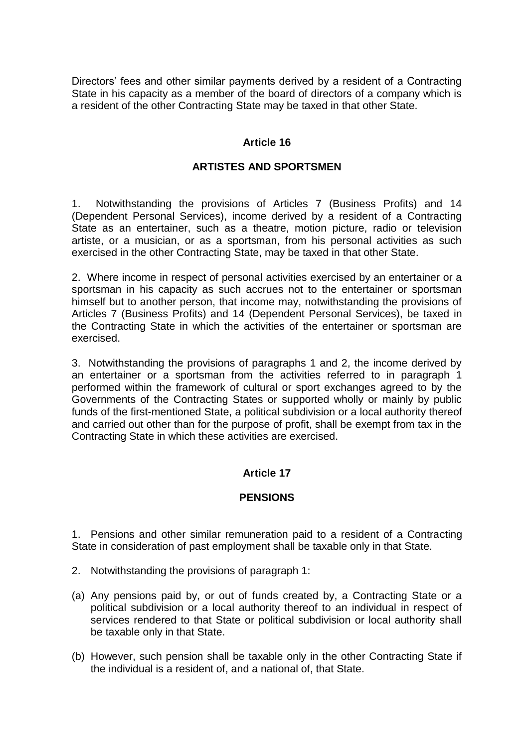Directors' fees and other similar payments derived by a resident of a Contracting State in his capacity as a member of the board of directors of a company which is a resident of the other Contracting State may be taxed in that other State.

#### **Article 16**

#### **ARTISTES AND SPORTSMEN**

1. Notwithstanding the provisions of Articles 7 (Business Profits) and 14 (Dependent Personal Services), income derived by a resident of a Contracting State as an entertainer, such as a theatre, motion picture, radio or television artiste, or a musician, or as a sportsman, from his personal activities as such exercised in the other Contracting State, may be taxed in that other State.

2. Where income in respect of personal activities exercised by an entertainer or a sportsman in his capacity as such accrues not to the entertainer or sportsman himself but to another person, that income may, notwithstanding the provisions of Articles 7 (Business Profits) and 14 (Dependent Personal Services), be taxed in the Contracting State in which the activities of the entertainer or sportsman are exercised.

3. Notwithstanding the provisions of paragraphs 1 and 2, the income derived by an entertainer or a sportsman from the activities referred to in paragraph 1 performed within the framework of cultural or sport exchanges agreed to by the Governments of the Contracting States or supported wholly or mainly by public funds of the first-mentioned State, a political subdivision or a local authority thereof and carried out other than for the purpose of profit, shall be exempt from tax in the Contracting State in which these activities are exercised.

# **Article 17**

#### **PENSIONS**

1. Pensions and other similar remuneration paid to a resident of a Contracting State in consideration of past employment shall be taxable only in that State.

- 2. Notwithstanding the provisions of paragraph 1:
- (a) Any pensions paid by, or out of funds created by, a Contracting State or a political subdivision or a local authority thereof to an individual in respect of services rendered to that State or political subdivision or local authority shall be taxable only in that State.
- (b) However, such pension shall be taxable only in the other Contracting State if the individual is a resident of, and a national of, that State.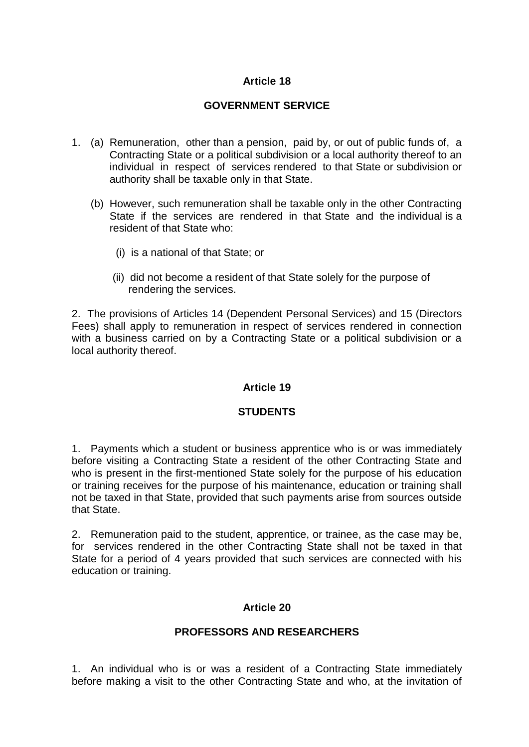# **Article 18**

# **GOVERNMENT SERVICE**

- 1. (a) Remuneration, other than a pension, paid by, or out of public funds of, a Contracting State or a political subdivision or a local authority thereof to an individual in respect of services rendered to that State or subdivision or authority shall be taxable only in that State.
	- (b) However, such remuneration shall be taxable only in the other Contracting State if the services are rendered in that State and the individual is a resident of that State who:
		- (i) is a national of that State; or
		- (ii) did not become a resident of that State solely for the purpose of rendering the services.

2. The provisions of Articles 14 (Dependent Personal Services) and 15 (Directors Fees) shall apply to remuneration in respect of services rendered in connection with a business carried on by a Contracting State or a political subdivision or a local authority thereof.

# **Article 19**

# **STUDENTS**

1. Payments which a student or business apprentice who is or was immediately before visiting a Contracting State a resident of the other Contracting State and who is present in the first-mentioned State solely for the purpose of his education or training receives for the purpose of his maintenance, education or training shall not be taxed in that State, provided that such payments arise from sources outside that State.

2. Remuneration paid to the student, apprentice, or trainee, as the case may be, for services rendered in the other Contracting State shall not be taxed in that State for a period of 4 years provided that such services are connected with his education or training.

# **Article 20**

# **PROFESSORS AND RESEARCHERS**

1. An individual who is or was a resident of a Contracting State immediately before making a visit to the other Contracting State and who, at the invitation of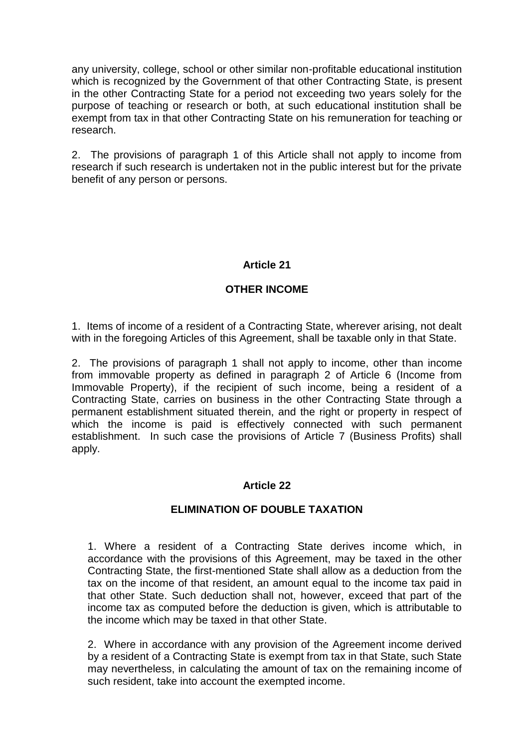any university, college, school or other similar non-profitable educational institution which is recognized by the Government of that other Contracting State, is present in the other Contracting State for a period not exceeding two years solely for the purpose of teaching or research or both, at such educational institution shall be exempt from tax in that other Contracting State on his remuneration for teaching or research.

2. The provisions of paragraph 1 of this Article shall not apply to income from research if such research is undertaken not in the public interest but for the private benefit of any person or persons.

# **Article 21**

# **OTHER INCOME**

1. Items of income of a resident of a Contracting State, wherever arising, not dealt with in the foregoing Articles of this Agreement, shall be taxable only in that State.

2. The provisions of paragraph 1 shall not apply to income, other than income from immovable property as defined in paragraph 2 of Article 6 (Income from Immovable Property), if the recipient of such income, being a resident of a Contracting State, carries on business in the other Contracting State through a permanent establishment situated therein, and the right or property in respect of which the income is paid is effectively connected with such permanent establishment. In such case the provisions of Article 7 (Business Profits) shall apply.

# **Article 22**

# **ELIMINATION OF DOUBLE TAXATION**

1. Where a resident of a Contracting State derives income which, in accordance with the provisions of this Agreement, may be taxed in the other Contracting State, the first-mentioned State shall allow as a deduction from the tax on the income of that resident, an amount equal to the income tax paid in that other State. Such deduction shall not, however, exceed that part of the income tax as computed before the deduction is given, which is attributable to the income which may be taxed in that other State.

2. Where in accordance with any provision of the Agreement income derived by a resident of a Contracting State is exempt from tax in that State, such State may nevertheless, in calculating the amount of tax on the remaining income of such resident, take into account the exempted income.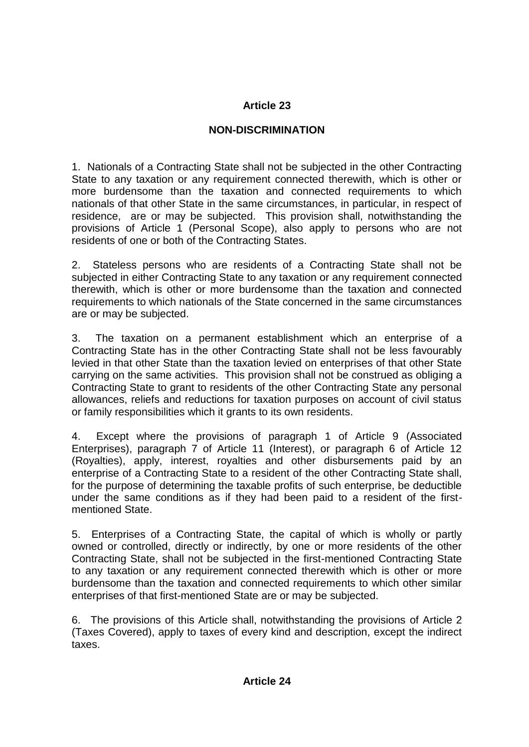# **Article 23**

# **NON-DISCRIMINATION**

1. Nationals of a Contracting State shall not be subjected in the other Contracting State to any taxation or any requirement connected therewith, which is other or more burdensome than the taxation and connected requirements to which nationals of that other State in the same circumstances, in particular, in respect of residence, are or may be subjected. This provision shall, notwithstanding the provisions of Article 1 (Personal Scope), also apply to persons who are not residents of one or both of the Contracting States.

2. Stateless persons who are residents of a Contracting State shall not be subjected in either Contracting State to any taxation or any requirement connected therewith, which is other or more burdensome than the taxation and connected requirements to which nationals of the State concerned in the same circumstances are or may be subjected.

3. The taxation on a permanent establishment which an enterprise of a Contracting State has in the other Contracting State shall not be less favourably levied in that other State than the taxation levied on enterprises of that other State carrying on the same activities. This provision shall not be construed as obliging a Contracting State to grant to residents of the other Contracting State any personal allowances, reliefs and reductions for taxation purposes on account of civil status or family responsibilities which it grants to its own residents.

4. Except where the provisions of paragraph 1 of Article 9 (Associated Enterprises), paragraph 7 of Article 11 (Interest), or paragraph 6 of Article 12 (Royalties), apply, interest, royalties and other disbursements paid by an enterprise of a Contracting State to a resident of the other Contracting State shall, for the purpose of determining the taxable profits of such enterprise, be deductible under the same conditions as if they had been paid to a resident of the firstmentioned State.

5. Enterprises of a Contracting State, the capital of which is wholly or partly owned or controlled, directly or indirectly, by one or more residents of the other Contracting State, shall not be subjected in the first-mentioned Contracting State to any taxation or any requirement connected therewith which is other or more burdensome than the taxation and connected requirements to which other similar enterprises of that first-mentioned State are or may be subjected.

6. The provisions of this Article shall, notwithstanding the provisions of Article 2 (Taxes Covered), apply to taxes of every kind and description, except the indirect taxes.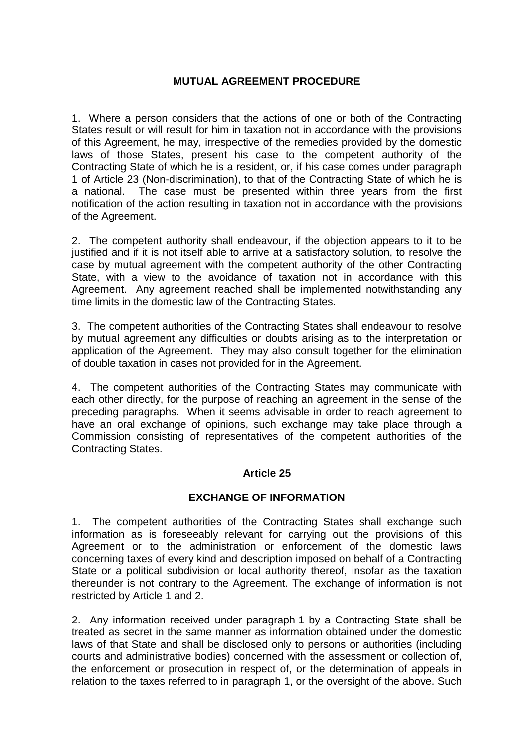# **MUTUAL AGREEMENT PROCEDURE**

1. Where a person considers that the actions of one or both of the Contracting States result or will result for him in taxation not in accordance with the provisions of this Agreement, he may, irrespective of the remedies provided by the domestic laws of those States, present his case to the competent authority of the Contracting State of which he is a resident, or, if his case comes under paragraph 1 of Article 23 (Non-discrimination), to that of the Contracting State of which he is a national. The case must be presented within three years from the first notification of the action resulting in taxation not in accordance with the provisions of the Agreement.

2. The competent authority shall endeavour, if the objection appears to it to be justified and if it is not itself able to arrive at a satisfactory solution, to resolve the case by mutual agreement with the competent authority of the other Contracting State, with a view to the avoidance of taxation not in accordance with this Agreement. Any agreement reached shall be implemented notwithstanding any time limits in the domestic law of the Contracting States.

3. The competent authorities of the Contracting States shall endeavour to resolve by mutual agreement any difficulties or doubts arising as to the interpretation or application of the Agreement. They may also consult together for the elimination of double taxation in cases not provided for in the Agreement.

4. The competent authorities of the Contracting States may communicate with each other directly, for the purpose of reaching an agreement in the sense of the preceding paragraphs. When it seems advisable in order to reach agreement to have an oral exchange of opinions, such exchange may take place through a Commission consisting of representatives of the competent authorities of the Contracting States.

# **Article 25**

# **EXCHANGE OF INFORMATION**

1. The competent authorities of the Contracting States shall exchange such information as is foreseeably relevant for carrying out the provisions of this Agreement or to the administration or enforcement of the domestic laws concerning taxes of every kind and description imposed on behalf of a Contracting State or a political subdivision or local authority thereof, insofar as the taxation thereunder is not contrary to the Agreement. The exchange of information is not restricted by Article 1 and 2.

2. Any information received under paragraph 1 by a Contracting State shall be treated as secret in the same manner as information obtained under the domestic laws of that State and shall be disclosed only to persons or authorities (including courts and administrative bodies) concerned with the assessment or collection of, the enforcement or prosecution in respect of, or the determination of appeals in relation to the taxes referred to in paragraph 1, or the oversight of the above. Such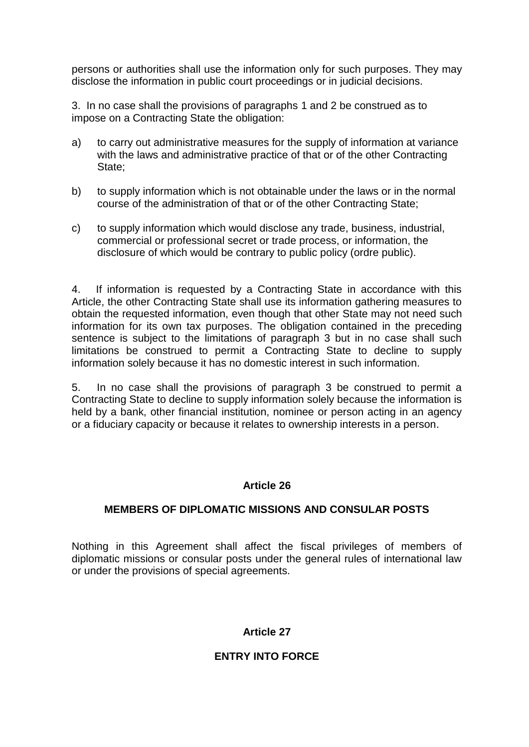persons or authorities shall use the information only for such purposes. They may disclose the information in public court proceedings or in judicial decisions.

3. In no case shall the provisions of paragraphs 1 and 2 be construed as to impose on a Contracting State the obligation:

- a) to carry out administrative measures for the supply of information at variance with the laws and administrative practice of that or of the other Contracting State;
- b) to supply information which is not obtainable under the laws or in the normal course of the administration of that or of the other Contracting State;
- c) to supply information which would disclose any trade, business, industrial, commercial or professional secret or trade process, or information, the disclosure of which would be contrary to public policy (ordre public).

4. If information is requested by a Contracting State in accordance with this Article, the other Contracting State shall use its information gathering measures to obtain the requested information, even though that other State may not need such information for its own tax purposes. The obligation contained in the preceding sentence is subject to the limitations of paragraph 3 but in no case shall such limitations be construed to permit a Contracting State to decline to supply information solely because it has no domestic interest in such information.

5. In no case shall the provisions of paragraph 3 be construed to permit a Contracting State to decline to supply information solely because the information is held by a bank, other financial institution, nominee or person acting in an agency or a fiduciary capacity or because it relates to ownership interests in a person.

# **Article 26**

# **MEMBERS OF DIPLOMATIC MISSIONS AND CONSULAR POSTS**

Nothing in this Agreement shall affect the fiscal privileges of members of diplomatic missions or consular posts under the general rules of international law or under the provisions of special agreements.

# **Article 27**

# **ENTRY INTO FORCE**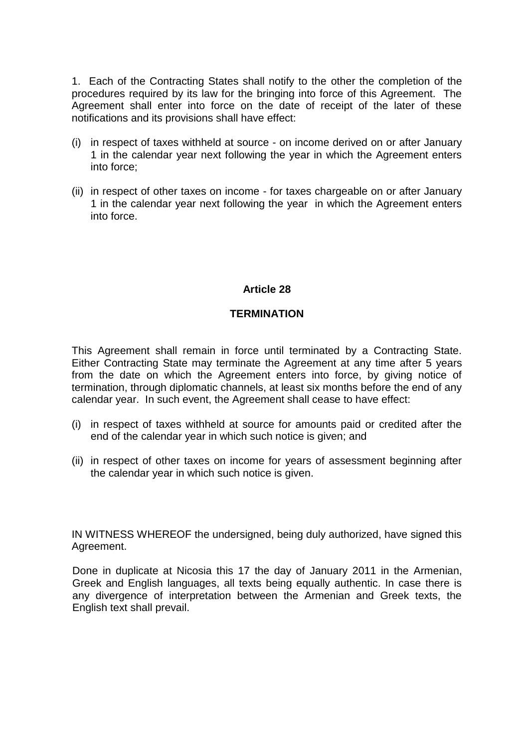1. Each of the Contracting States shall notify to the other the completion of the procedures required by its law for the bringing into force of this Agreement. The Agreement shall enter into force on the date of receipt of the later of these notifications and its provisions shall have effect:

- (i) in respect of taxes withheld at source on income derived on or after January 1 in the calendar year next following the year in which the Agreement enters into force;
- (ii) in respect of other taxes on income for taxes chargeable on or after January 1 in the calendar year next following the year in which the Agreement enters into force.

# **Article 28**

#### **TERMINATION**

This Agreement shall remain in force until terminated by a Contracting State. Either Contracting State may terminate the Agreement at any time after 5 years from the date on which the Agreement enters into force, by giving notice of termination, through diplomatic channels, at least six months before the end of any calendar year. In such event, the Agreement shall cease to have effect:

- (i) in respect of taxes withheld at source for amounts paid or credited after the end of the calendar year in which such notice is given; and
- (ii) in respect of other taxes on income for years of assessment beginning after the calendar year in which such notice is given.

IN WITNESS WHEREOF the undersigned, being duly authorized, have signed this Agreement.

Done in duplicate at Nicosia this 17 the day of January 2011 in the Armenian, Greek and English languages, all texts being equally authentic. In case there is any divergence of interpretation between the Armenian and Greek texts, the English text shall prevail.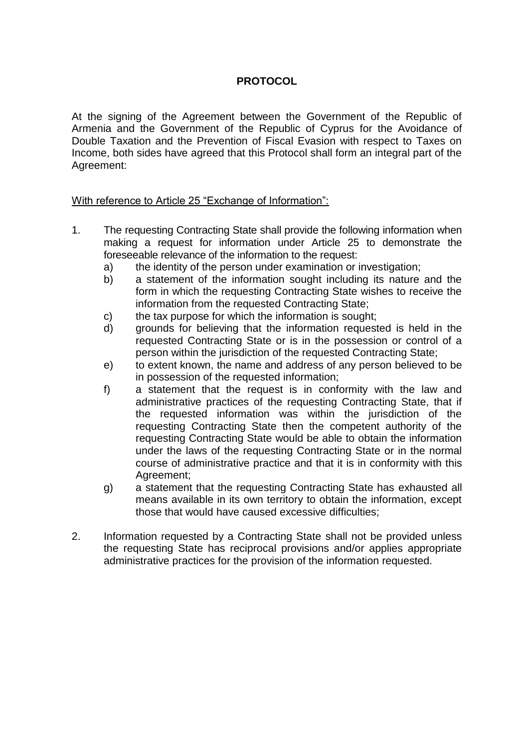# **PROTOCOL**

At the signing of the Agreement between the Government of the Republic of Armenia and the Government of the Republic of Cyprus for the Avoidance of Double Taxation and the Prevention of Fiscal Evasion with respect to Taxes on Income, both sides have agreed that this Protocol shall form an integral part of the Agreement:

With reference to Article 25 "Exchange of Information":

- 1. The requesting Contracting State shall provide the following information when making a request for information under Article 25 to demonstrate the foreseeable relevance of the information to the request:
	- a) the identity of the person under examination or investigation;
	- b) a statement of the information sought including its nature and the form in which the requesting Contracting State wishes to receive the information from the requested Contracting State;
	- c) the tax purpose for which the information is sought;<br>d) arounds for believing that the information request
	- grounds for believing that the information requested is held in the requested Contracting State or is in the possession or control of a person within the jurisdiction of the requested Contracting State;
	- e) to extent known, the name and address of any person believed to be in possession of the requested information;
	- f) a statement that the request is in conformity with the law and administrative practices of the requesting Contracting State, that if the requested information was within the jurisdiction of the requesting Contracting State then the competent authority of the requesting Contracting State would be able to obtain the information under the laws of the requesting Contracting State or in the normal course of administrative practice and that it is in conformity with this Agreement;
	- g) a statement that the requesting Contracting State has exhausted all means available in its own territory to obtain the information, except those that would have caused excessive difficulties;
- 2. Information requested by a Contracting State shall not be provided unless the requesting State has reciprocal provisions and/or applies appropriate administrative practices for the provision of the information requested.